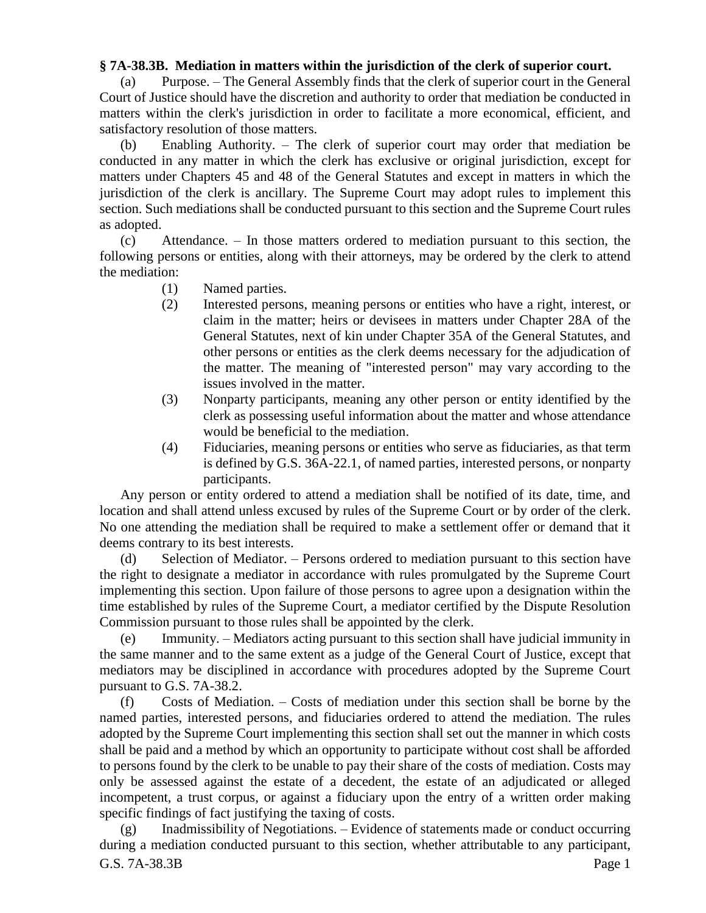## **§ 7A-38.3B. Mediation in matters within the jurisdiction of the clerk of superior court.**

(a) Purpose. – The General Assembly finds that the clerk of superior court in the General Court of Justice should have the discretion and authority to order that mediation be conducted in matters within the clerk's jurisdiction in order to facilitate a more economical, efficient, and satisfactory resolution of those matters.

(b) Enabling Authority. – The clerk of superior court may order that mediation be conducted in any matter in which the clerk has exclusive or original jurisdiction, except for matters under Chapters 45 and 48 of the General Statutes and except in matters in which the jurisdiction of the clerk is ancillary. The Supreme Court may adopt rules to implement this section. Such mediations shall be conducted pursuant to this section and the Supreme Court rules as adopted.

(c) Attendance. – In those matters ordered to mediation pursuant to this section, the following persons or entities, along with their attorneys, may be ordered by the clerk to attend the mediation:

- (1) Named parties.
- (2) Interested persons, meaning persons or entities who have a right, interest, or claim in the matter; heirs or devisees in matters under Chapter 28A of the General Statutes, next of kin under Chapter 35A of the General Statutes, and other persons or entities as the clerk deems necessary for the adjudication of the matter. The meaning of "interested person" may vary according to the issues involved in the matter.
- (3) Nonparty participants, meaning any other person or entity identified by the clerk as possessing useful information about the matter and whose attendance would be beneficial to the mediation.
- (4) Fiduciaries, meaning persons or entities who serve as fiduciaries, as that term is defined by G.S. 36A-22.1, of named parties, interested persons, or nonparty participants.

Any person or entity ordered to attend a mediation shall be notified of its date, time, and location and shall attend unless excused by rules of the Supreme Court or by order of the clerk. No one attending the mediation shall be required to make a settlement offer or demand that it deems contrary to its best interests.

(d) Selection of Mediator. – Persons ordered to mediation pursuant to this section have the right to designate a mediator in accordance with rules promulgated by the Supreme Court implementing this section. Upon failure of those persons to agree upon a designation within the time established by rules of the Supreme Court, a mediator certified by the Dispute Resolution Commission pursuant to those rules shall be appointed by the clerk.

(e) Immunity. – Mediators acting pursuant to this section shall have judicial immunity in the same manner and to the same extent as a judge of the General Court of Justice, except that mediators may be disciplined in accordance with procedures adopted by the Supreme Court pursuant to G.S. 7A-38.2.

(f) Costs of Mediation. – Costs of mediation under this section shall be borne by the named parties, interested persons, and fiduciaries ordered to attend the mediation. The rules adopted by the Supreme Court implementing this section shall set out the manner in which costs shall be paid and a method by which an opportunity to participate without cost shall be afforded to persons found by the clerk to be unable to pay their share of the costs of mediation. Costs may only be assessed against the estate of a decedent, the estate of an adjudicated or alleged incompetent, a trust corpus, or against a fiduciary upon the entry of a written order making specific findings of fact justifying the taxing of costs.

G.S. 7A-38.3B Page 1 (g) Inadmissibility of Negotiations. – Evidence of statements made or conduct occurring during a mediation conducted pursuant to this section, whether attributable to any participant,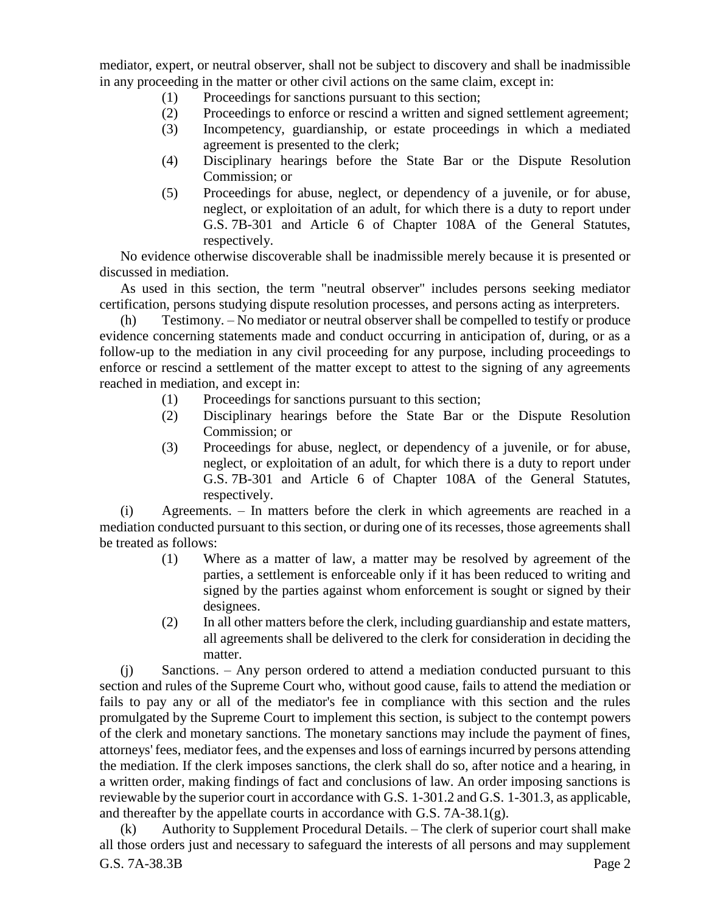mediator, expert, or neutral observer, shall not be subject to discovery and shall be inadmissible in any proceeding in the matter or other civil actions on the same claim, except in:

- (1) Proceedings for sanctions pursuant to this section;
- (2) Proceedings to enforce or rescind a written and signed settlement agreement;
- (3) Incompetency, guardianship, or estate proceedings in which a mediated agreement is presented to the clerk;
- (4) Disciplinary hearings before the State Bar or the Dispute Resolution Commission; or
- (5) Proceedings for abuse, neglect, or dependency of a juvenile, or for abuse, neglect, or exploitation of an adult, for which there is a duty to report under G.S. 7B-301 and Article 6 of Chapter 108A of the General Statutes, respectively.

No evidence otherwise discoverable shall be inadmissible merely because it is presented or discussed in mediation.

As used in this section, the term "neutral observer" includes persons seeking mediator certification, persons studying dispute resolution processes, and persons acting as interpreters.

(h) Testimony. – No mediator or neutral observer shall be compelled to testify or produce evidence concerning statements made and conduct occurring in anticipation of, during, or as a follow-up to the mediation in any civil proceeding for any purpose, including proceedings to enforce or rescind a settlement of the matter except to attest to the signing of any agreements reached in mediation, and except in:

- (1) Proceedings for sanctions pursuant to this section;
- (2) Disciplinary hearings before the State Bar or the Dispute Resolution Commission; or
- (3) Proceedings for abuse, neglect, or dependency of a juvenile, or for abuse, neglect, or exploitation of an adult, for which there is a duty to report under G.S. 7B-301 and Article 6 of Chapter 108A of the General Statutes, respectively.

(i) Agreements. – In matters before the clerk in which agreements are reached in a mediation conducted pursuant to this section, or during one of its recesses, those agreements shall be treated as follows:

- (1) Where as a matter of law, a matter may be resolved by agreement of the parties, a settlement is enforceable only if it has been reduced to writing and signed by the parties against whom enforcement is sought or signed by their designees.
- (2) In all other matters before the clerk, including guardianship and estate matters, all agreements shall be delivered to the clerk for consideration in deciding the matter.

(j) Sanctions. – Any person ordered to attend a mediation conducted pursuant to this section and rules of the Supreme Court who, without good cause, fails to attend the mediation or fails to pay any or all of the mediator's fee in compliance with this section and the rules promulgated by the Supreme Court to implement this section, is subject to the contempt powers of the clerk and monetary sanctions. The monetary sanctions may include the payment of fines, attorneys' fees, mediator fees, and the expenses and loss of earnings incurred by persons attending the mediation. If the clerk imposes sanctions, the clerk shall do so, after notice and a hearing, in a written order, making findings of fact and conclusions of law. An order imposing sanctions is reviewable by the superior court in accordance with G.S. 1-301.2 and G.S. 1-301.3, as applicable, and thereafter by the appellate courts in accordance with G.S. 7A-38.1(g).

G.S. 7A-38.3B Page 2 (k) Authority to Supplement Procedural Details. – The clerk of superior court shall make all those orders just and necessary to safeguard the interests of all persons and may supplement